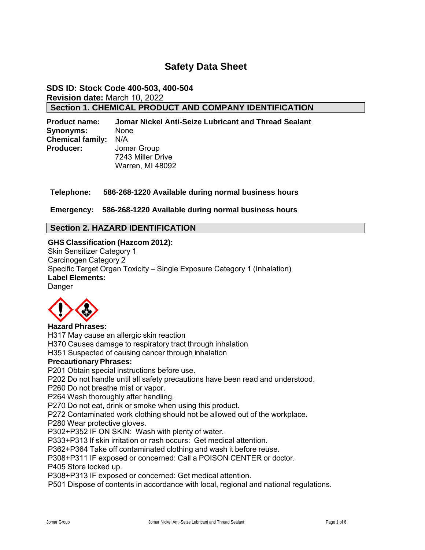# **Safety Data Sheet**

# **SDS ID: Stock Code 400-503, 400-504 Revision date:** March 10, 2022 **Section 1. CHEMICAL PRODUCT AND COMPANY IDENTIFICATION**

**Product name: Jomar Nickel Anti-Seize Lubricant and Thread Sealant Synonyms:** None **Chemical family:** N/A **Producer:** Jomar Group 7243 Miller Drive Warren, MI 48092

# **Telephone: 586-268-1220 Available during normal business hours**

**Emergency: 586-268-1220 Available during normal business hours** 

# **Section 2. HAZARD IDENTIFICATION**

### **GHS Classification (Hazcom 2012):**

Skin Sensitizer Category 1 Carcinogen Category 2 Specific Target Organ Toxicity – Single Exposure Category 1 (Inhalation) **Label Elements:** Danger



# **Hazard Phrases:**

H317 May cause an allergic skin reaction H370 Causes damage to respiratory tract through inhalation

H351 Suspected of causing cancer through inhalation

### **Precautionary Phrases:**

P201 Obtain special instructions before use.

P202 Do not handle until all safety precautions have been read and understood.

P260 Do not breathe mist or vapor.

P264 Wash thoroughly after handling.

P270 Do not eat, drink or smoke when using this product.

P272 Contaminated work clothing should not be allowed out of the workplace.

P280 Wear protective gloves.

P302+P352 IF ON SKIN: Wash with plenty of water.

P333+P313 If skin irritation or rash occurs: Get medical attention.

P362+P364 Take off contaminated clothing and wash it before reuse.

P308+P311 IF exposed or concerned: Call a POISON CENTER or doctor.

P405 Store locked up.

P308+P313 IF exposed or concerned: Get medical attention.

P501 Dispose of contents in accordance with local, regional and national regulations.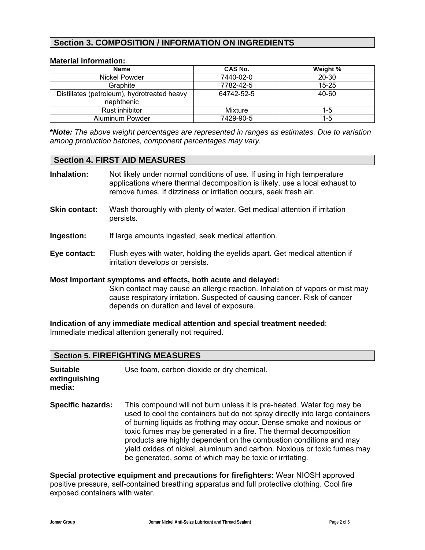# **Section 3. COMPOSITION / INFORMATION ON INGREDIENTS**

### **Material information:**

| <b>Name</b>                                               | CAS No.    | Weight %  |
|-----------------------------------------------------------|------------|-----------|
| Nickel Powder                                             | 7440-02-0  | 20-30     |
| Graphite                                                  | 7782-42-5  | $15 - 25$ |
| Distillates (petroleum), hydrotreated heavy<br>naphthenic | 64742-52-5 | 40-60     |
| Rust inhibitor                                            | Mixture    | 1-5       |
| Aluminum Powder                                           | 7429-90-5  | 1-5       |

**\****Note: The above weight percentages are represented in ranges as estimates. Due to variation among production batches, component percentages may vary.*

### **Section 4. FIRST AID MEASURES**

| <b>Inhalation:</b>   | Not likely under normal conditions of use. If using in high temperature<br>applications where thermal decomposition is likely, use a local exhaust to<br>remove fumes. If dizziness or irritation occurs, seek fresh air. |
|----------------------|---------------------------------------------------------------------------------------------------------------------------------------------------------------------------------------------------------------------------|
| <b>Skin contact:</b> | Wash thoroughly with plenty of water. Get medical attention if irritation<br>persists.                                                                                                                                    |
| Ingestion:           | If large amounts ingested, seek medical attention.                                                                                                                                                                        |
| Eye contact:         | Flush eyes with water, holding the eyelids apart. Get medical attention if<br>irritation develops or persists.                                                                                                            |
|                      | Most Important symptoms and effects, both acute and delayed:                                                                                                                                                              |

Skin contact may cause an allergic reaction. Inhalation of vapors or mist may cause respiratory irritation. Suspected of causing cancer. Risk of cancer depends on duration and level of exposure.

**Indication of any immediate medical attention and special treatment needed**: Immediate medical attention generally not required.

# **Section 5. FIREFIGHTING MEASURES**

| <b>Suitable</b><br>extinguishing<br>media: | Use foam, carbon dioxide or dry chemical.                                                                                                                                                                                                                                                                                                                                                                                                                                                                     |
|--------------------------------------------|---------------------------------------------------------------------------------------------------------------------------------------------------------------------------------------------------------------------------------------------------------------------------------------------------------------------------------------------------------------------------------------------------------------------------------------------------------------------------------------------------------------|
| <b>Specific hazards:</b>                   | This compound will not burn unless it is pre-heated. Water fog may be<br>used to cool the containers but do not spray directly into large containers<br>of burning liquids as frothing may occur. Dense smoke and noxious or<br>toxic fumes may be generated in a fire. The thermal decomposition<br>products are highly dependent on the combustion conditions and may<br>yield oxides of nickel, aluminum and carbon. Noxious or toxic fumes may<br>be generated, some of which may be toxic or irritating. |

**Special protective equipment and precautions for firefighters:** Wear NIOSH approved positive pressure, self-contained breathing apparatus and full protective clothing. Cool fire exposed containers with water.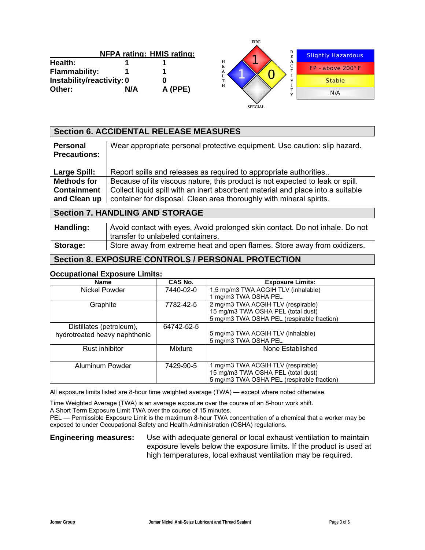|                           |     | <b>NFPA rating: HMIS rating:</b> |
|---------------------------|-----|----------------------------------|
| Health:                   |     |                                  |
| <b>Flammability:</b>      |     |                                  |
| Instability/reactivity: 0 |     | O                                |
| Other:                    | N/A | A (PPE)                          |



# **Section 6. ACCIDENTAL RELEASE MEASURES**

| <b>Personal</b><br><b>Precautions:</b> | Wear appropriate personal protective equipment. Use caution: slip hazard.                                                                                        |
|----------------------------------------|------------------------------------------------------------------------------------------------------------------------------------------------------------------|
| Large Spill:                           | Report spills and releases as required to appropriate authorities                                                                                                |
| Methods for<br><b>Containment</b>      | Because of its viscous nature, this product is not expected to leak or spill.<br>Collect liquid spill with an inert absorbent material and place into a suitable |
| and Clean up                           | container for disposal. Clean area thoroughly with mineral spirits.                                                                                              |

# **Section 7. HANDLING AND STORAGE**

| Handling: | Avoid contact with eyes. Avoid prolonged skin contact. Do not inhale. Do not |
|-----------|------------------------------------------------------------------------------|
|           | transfer to unlabeled containers.                                            |
| Storage:  | Store away from extreme heat and open flames. Store away from oxidizers.     |

# **Section 8. EXPOSURE CONTROLS / PERSONAL PROTECTION**

### **Occupational Exposure Limits:**

| <b>Name</b>                   | CAS No.    | <b>Exposure Limits:</b>                    |
|-------------------------------|------------|--------------------------------------------|
| Nickel Powder                 | 7440-02-0  | 1.5 mg/m3 TWA ACGIH TLV (inhalable)        |
|                               |            | 1 mg/m3 TWA OSHA PEL                       |
| Graphite                      | 7782-42-5  | 2 mg/m3 TWA ACGIH TLV (respirable)         |
|                               |            | 15 mg/m3 TWA OSHA PEL (total dust)         |
|                               |            | 5 mg/m3 TWA OSHA PEL (respirable fraction) |
| Distillates (petroleum),      | 64742-52-5 |                                            |
| hydrotreated heavy naphthenic |            | 5 mg/m3 TWA ACGIH TLV (inhalable)          |
|                               |            | 5 mg/m3 TWA OSHA PEL                       |
| Rust inhibitor                | Mixture    | None Established                           |
|                               |            |                                            |
| Aluminum Powder               | 7429-90-5  | 1 mg/m3 TWA ACGIH TLV (respirable)         |
|                               |            | 15 mg/m3 TWA OSHA PEL (total dust)         |
|                               |            | 5 mg/m3 TWA OSHA PEL (respirable fraction) |

All exposure limits listed are 8-hour time weighted average (TWA) — except where noted otherwise.

Time Weighted Average (TWA) is an average exposure over the course of an 8-hour work shift.

A Short Term Exposure Limit TWA over the course of 15 minutes.

PEL — Permissible Exposure Limit is the maximum 8-hour TWA concentration of a chemical that a worker may be exposed to under Occupational Safety and Health Administration (OSHA) regulations.

**Engineering measures:** Use with adequate general or local exhaust ventilation to maintain exposure levels below the exposure limits. If the product is used at high temperatures, local exhaust ventilation may be required.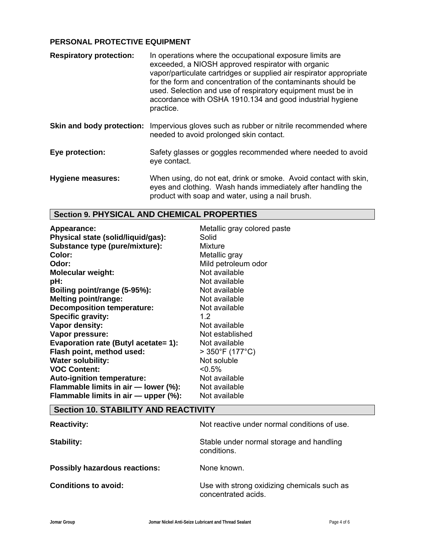# **PERSONAL PROTECTIVE EQUIPMENT**

| <b>Respiratory protection:</b> | In operations where the occupational exposure limits are<br>exceeded, a NIOSH approved respirator with organic<br>vapor/particulate cartridges or supplied air respirator appropriate<br>for the form and concentration of the contaminants should be<br>used. Selection and use of respiratory equipment must be in<br>accordance with OSHA 1910.134 and good industrial hygiene<br>practice. |
|--------------------------------|------------------------------------------------------------------------------------------------------------------------------------------------------------------------------------------------------------------------------------------------------------------------------------------------------------------------------------------------------------------------------------------------|
| Skin and body protection:      | Impervious gloves such as rubber or nitrile recommended where<br>needed to avoid prolonged skin contact.                                                                                                                                                                                                                                                                                       |
| Eye protection:                | Safety glasses or goggles recommended where needed to avoid<br>eye contact.                                                                                                                                                                                                                                                                                                                    |
| <b>Hygiene measures:</b>       | When using, do not eat, drink or smoke. Avoid contact with skin,<br>eyes and clothing. Wash hands immediately after handling the<br>product with soap and water, using a nail brush.                                                                                                                                                                                                           |

# **Section 9. PHYSICAL AND CHEMICAL PROPERTIES**

| Appearance:                              | Metallic gray colored paste         |
|------------------------------------------|-------------------------------------|
| Physical state (solid/liquid/gas):       | Solid                               |
| Substance type (pure/mixture):           | <b>Mixture</b>                      |
| <b>Color:</b>                            | Metallic gray                       |
| Odor:                                    | Mild petroleum odor                 |
| <b>Molecular weight:</b>                 | Not available                       |
| pH:                                      | Not available                       |
| Boiling point/range (5-95%):             | Not available                       |
| Melting point/range:                     | Not available                       |
| <b>Decomposition temperature:</b>        | Not available                       |
| Specific gravity:                        | 1.2                                 |
| Vapor density:                           | Not available                       |
| Vapor pressure:                          | Not established                     |
| Evaporation rate (Butyl acetate= 1):     | Not available                       |
| Flash point, method used:                | $>350^{\circ}$ F (177 $^{\circ}$ C) |
| <b>Water solubility:</b>                 | Not soluble                         |
| <b>VOC Content:</b>                      | $< 0.5\%$                           |
| Auto-ignition temperature:               | Not available                       |
| Flammable limits in air - lower (%):     | Not available                       |
| Flammable limits in air — upper $(\%)$ : | Not available                       |

# **Section 10. STABILITY AND REACTIVITY**

| <b>Reactivity:</b>                   | Not reactive under normal conditions of use.                       |
|--------------------------------------|--------------------------------------------------------------------|
| Stability:                           | Stable under normal storage and handling<br>conditions.            |
| <b>Possibly hazardous reactions:</b> | None known.                                                        |
| <b>Conditions to avoid:</b>          | Use with strong oxidizing chemicals such as<br>concentrated acids. |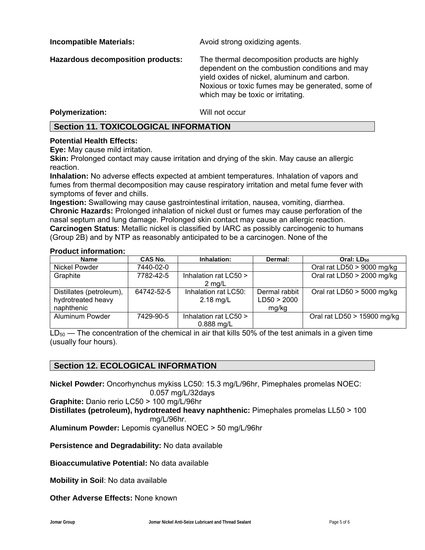**Incompatible Materials: Avoid strong oxidizing agents.** 

**Hazardous decomposition products:** The thermal decomposition products are highly dependent on the combustion conditions and may yield oxides of nickel, aluminum and carbon. Noxious or toxic fumes may be generated, some of which may be toxic or irritating.

# **Polymerization:** Will not occur

# **Section 11. TOXICOLOGICAL INFORMATION**

# **Potential Health Effects:**

**Eye:** May cause mild irritation.

**Skin:** Prolonged contact may cause irritation and drying of the skin. May cause an allergic reaction.

**Inhalation:** No adverse effects expected at ambient temperatures. Inhalation of vapors and fumes from thermal decomposition may cause respiratory irritation and metal fume fever with symptoms of fever and chills.

**Ingestion:** Swallowing may cause gastrointestinal irritation, nausea, vomiting, diarrhea. **Chronic Hazards:** Prolonged inhalation of nickel dust or fumes may cause perforation of the nasal septum and lung damage. Prolonged skin contact may cause an allergic reaction. **Carcinogen Status**: Metallic nickel is classified by IARC as possibly carcinogenic to humans (Group 2B) and by NTP as reasonably anticipated to be a carcinogen. None of the

### **Product information:**

| <b>Name</b>                                                  | <b>CAS No.</b> | Inhalation:                               | Dermal:                               | Oral: LD <sub>50</sub>       |
|--------------------------------------------------------------|----------------|-------------------------------------------|---------------------------------------|------------------------------|
| Nickel Powder                                                | 7440-02-0      |                                           |                                       | Oral rat LD50 $>$ 9000 mg/kg |
| Graphite                                                     | 7782-42-5      | Inhalation rat LC50 ><br>$2 \text{ mg/L}$ |                                       | Oral rat LD50 > 2000 mg/kg   |
| Distillates (petroleum),<br>hydrotreated heavy<br>naphthenic | 64742-52-5     | Inhalation rat LC50:<br>$2.18$ mg/L       | Dermal rabbit<br>LD50 > 2000<br>mg/kg | Oral rat LD50 $>$ 5000 mg/kg |
| <b>Aluminum Powder</b>                                       | 7429-90-5      | Inhalation rat LC50 ><br>0.888 mg/L       |                                       | Oral rat LD50 > 15900 mg/kg  |

 $LD_{50}$  — The concentration of the chemical in air that kills 50% of the test animals in a given time (usually four hours).

# **Section 12. ECOLOGICAL INFORMATION**

**Nickel Powder:** Oncorhynchus mykiss LC50: 15.3 mg/L/96hr, Pimephales promelas NOEC: 0.057 mg/L/32days

**Graphite:** Danio rerio LC50 > 100 mg/L/96hr

**Distillates (petroleum), hydrotreated heavy naphthenic:** Pimephales promelas LL50 > 100 mg/L/96hr.

**Aluminum Powder:** Lepomis cyanellus NOEC > 50 mg/L/96hr

**Persistence and Degradability:** No data available

**Bioaccumulative Potential:** No data available

**Mobility in Soil**: No data available

**Other Adverse Effects:** None known